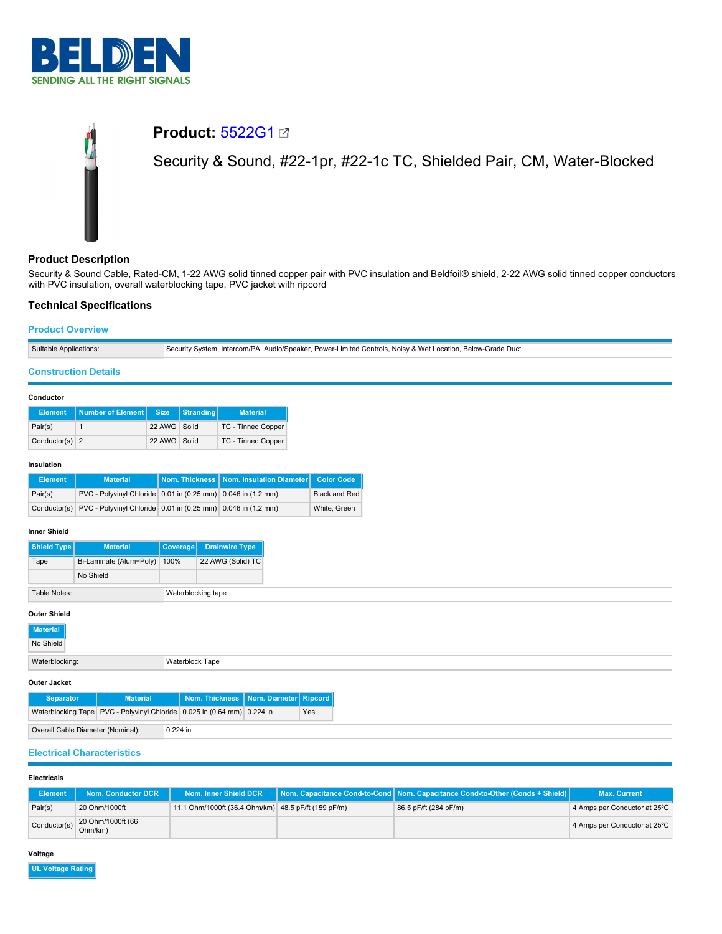

# **Product:** [5522G1](https://catalog.belden.com/index.cfm?event=pd&p=PF_5522G1&tab=downloads) Security & Sound, #22-1pr, #22-1c TC, Shielded Pair, CM, Water-Blocked

# **Product Description**

Security & Sound Cable, Rated-CM, 1-22 AWG solid tinned copper pair with PVC insulation and Beldfoil® shield, 2-22 AWG solid tinned copper conductors with PVC insulation, overall waterblocking tape, PVC jacket with ripcord

# **Technical Specifications**

## **Product Overview**

# **Construction Details**

#### **Conductor**

|                  | Element Number of Element Size |              | Stranding | <b>Material</b>    |
|------------------|--------------------------------|--------------|-----------|--------------------|
| Pair(s)          |                                | 22 AWG Solid |           | TC - Tinned Copper |
| Conductor(s) $2$ |                                | 22 AWG Solid |           | TC - Tinned Copper |

#### **Insulation**

| <b>Element</b> | <b>Material</b>                                                           | Nom. Thickness   Nom. Insulation Diameter   Color Code |                      |
|----------------|---------------------------------------------------------------------------|--------------------------------------------------------|----------------------|
| Pair(s)        | PVC - Polyvinyl Chloride 0.01 in (0.25 mm) 0.046 in (1.2 mm)              |                                                        | <b>Black and Red</b> |
|                | Conductor(s) PVC - Polyvinyl Chloride 0.01 in (0.25 mm) 0.046 in (1.2 mm) |                                                        | White, Green         |

#### **Inner Shield**

| <b>Shield Type</b> | <b>Material</b>         | <b>Coverage</b>    | <b>Drainwire Type</b> |
|--------------------|-------------------------|--------------------|-----------------------|
| Tape               | Bi-Laminate (Alum+Poly) | 100%               | 22 AWG (Solid) TC     |
|                    | No Shield               |                    |                       |
| Table Notes:       |                         | Waterblocking tape |                       |

#### **Outer Shield**

| outor ornora                            |                                        |
|-----------------------------------------|----------------------------------------|
| Material                                |                                        |
| No Shield                               |                                        |
| Waterblocking:                          | Waterblock Tape                        |
| Outer Jacket                            |                                        |
| <b>Material</b><br><b>Communication</b> | Nam Thisbuson, Nam Diameter Discovered |

|                                   | <b>Separator</b> | Material <sup>1</sup>                                                         |            | Nom. Thickness   Nom. Diameter   Ripcord |     |
|-----------------------------------|------------------|-------------------------------------------------------------------------------|------------|------------------------------------------|-----|
|                                   |                  | Waterblocking Tape   PVC - Polyvinyl Chloride   0.025 in (0.64 mm)   0.224 in |            |                                          | Yes |
| Overall Cable Diameter (Nominal): |                  |                                                                               | $0.224$ in |                                          |     |

# **Electrical Characteristics**

# **Electricals**

| Element      | Nom. Conductor DCR .         | Nom. Inner Shield DCR                               | Nom. Capacitance Cond-to-Cond   Nom. Capacitance Cond-to-Other (Conds + Shield) | <b>Max. Current</b>          |
|--------------|------------------------------|-----------------------------------------------------|---------------------------------------------------------------------------------|------------------------------|
| Pair(s)      | 20 Ohm/1000ft                | 11.1 Ohm/1000ft (36.4 Ohm/km) 48.5 pF/ft (159 pF/m) | 86.5 pF/ft (284 pF/m)                                                           | 4 Amps per Conductor at 25°C |
| Conductor(s) | 20 Ohm/1000ft (66<br>Ohm/km) |                                                     |                                                                                 | 4 Amps per Conductor at 25°C |

#### **Voltage**